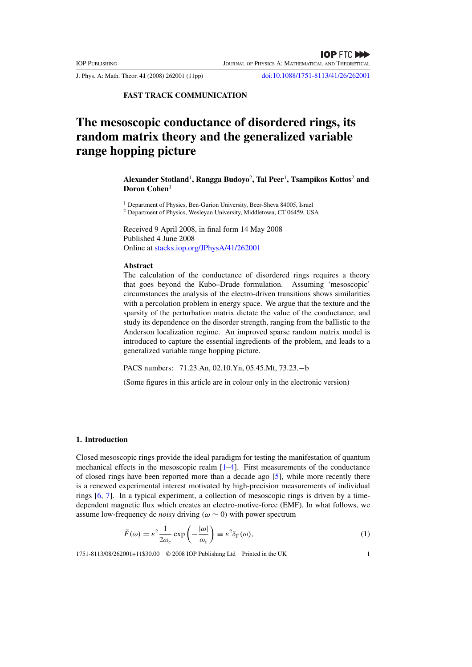J. Phys. A: Math. Theor. **41** (2008) 262001 (11pp) doi:10.1088/1751-8113/41/26/262001

**FAST TRACK COMMUNICATION**

# **The mesoscopic conductance of disordered rings, its random matrix theory and the generalized variable range hopping picture**

**Alexander Stotland**<sup>1</sup> **, Rangga Budoyo**<sup>2</sup> **, Tal Peer**<sup>1</sup> **, Tsampikos Kottos**<sup>2</sup> **and Doron Cohen**<sup>1</sup>

<sup>1</sup> Department of Physics, Ben-Gurion University, Beer-Sheva 84005, Israel <sup>2</sup> Department of Physics, Wesleyan University, Middletown, CT 06459, USA

Received 9 April 2008, in final form 14 May 2008 Published 4 June 2008 Online at stacks.iop.org/JPhysA/41/262001

## **Abstract**

The calculation of the conductance of disordered rings requires a theory that goes beyond the Kubo–Drude formulation. Assuming 'mesoscopic' circumstances the analysis of the electro-driven transitions shows similarities with a percolation problem in energy space. We argue that the texture and the sparsity of the perturbation matrix dictate the value of the conductance, and study its dependence on the disorder strength, ranging from the ballistic to the Anderson localization regime. An improved sparse random matrix model is introduced to capture the essential ingredients of the problem, and leads to a generalized variable range hopping picture.

PACS numbers: 71.23.An, 02.10.Yn, 05.45.Mt, 73.23.−b

(Some figures in this article are in colour only in the electronic version)

#### **1. Introduction**

Closed mesoscopic rings provide the ideal paradigm for testing the manifestation of quantum mechanical effects in the mesoscopic realm  $[1-4]$ . First measurements of the conductance of closed rings have been reported more than a decade ago [5], while more recently there is a renewed experimental interest motivated by high-precision measurements of individual rings [6, 7]. In a typical experiment, a collection of mesoscopic rings is driven by a timedependent magnetic flux which creates an electro-motive-force (EMF). In what follows, we assume low-frequency dc *noisy* driving  $(\omega \sim 0)$  with power spectrum

$$
\tilde{F}(\omega) = \varepsilon^2 \frac{1}{2\omega_c} \exp\left(-\frac{|\omega|}{\omega_c}\right) \equiv \varepsilon^2 \delta_\Gamma(\omega),\tag{1}
$$

1751-8113/08/262001+11\$30.00 © 2008 IOP Publishing Ltd Printed in the UK 1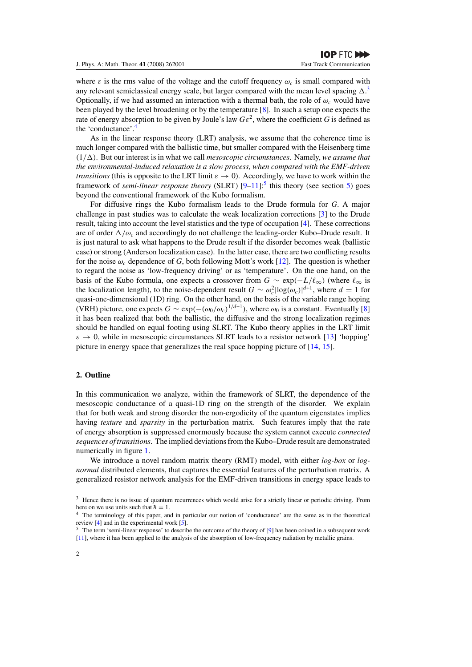where  $\varepsilon$  is the rms value of the voltage and the cutoff frequency  $\omega_c$  is small compared with any relevant semiclassical energy scale, but larger compared with the mean level spacing  $\Delta$ .<sup>3</sup> Optionally, if we had assumed an interaction with a thermal bath, the role of  $\omega_c$  would have been played by the level broadening or by the temperature [8]. In such a setup one expects the rate of energy absorption to be given by Joule's law  $Ge^2$ , where the coefficient *G* is defined as the 'conductance'.

As in the linear response theory (LRT) analysis, we assume that the coherence time is much longer compared with the ballistic time, but smaller compared with the Heisenberg time  $(1/\Delta)$ . But our interest is in what we call *mesoscopic circumstances*. Namely, *we assume that the environmental-induced relaxation is a slow process, when compared with the EMF-driven transitions* (this is opposite to the LRT limit  $\varepsilon \to 0$ ). Accordingly, we have to work within the framework of *semi-linear response theory* (SLRT)  $[9-11]$ <sup>5</sup> this theory (see section 5) goes beyond the conventional framework of the Kubo formalism.

For diffusive rings the Kubo formalism leads to the Drude formula for *G*. A major challenge in past studies was to calculate the weak localization corrections [3] to the Drude result, taking into account the level statistics and the type of occupation [4]. These corrections are of order  $\Delta/\omega_c$  and accordingly do not challenge the leading-order Kubo–Drude result. It is just natural to ask what happens to the Drude result if the disorder becomes weak (ballistic case) or strong (Anderson localization case). In the latter case, there are two conflicting results for the noise  $\omega_c$  dependence of G, both following Mott's work [12]. The question is whether to regard the noise as 'low-frequency driving' or as 'temperature'. On the one hand, on the basis of the Kubo formula, one expects a crossover from  $G \sim \exp(-L/\ell_{\infty})$  (where  $\ell_{\infty}$  is the localization length), to the noise-dependent result  $G \sim \omega_c^2 \log(\omega_c)|^{d+1}$ , where  $d = 1$  for quasi-one-dimensional (1D) ring. On the other hand, on the basis of the variable range hoping (VRH) picture, one expects  $G \sim \exp(-(\omega_0/\omega_c)^{1/(d+1)})$ , where  $\omega_0$  is a constant. Eventually [8] it has been realized that both the ballistic, the diffusive and the strong localization regimes should be handled on equal footing using SLRT. The Kubo theory applies in the LRT limit  $\varepsilon \to 0$ , while in mesoscopic circumstances SLRT leads to a resistor network [13] 'hopping' picture in energy space that generalizes the real space hopping picture of [14, 15].

#### **2. Outline**

In this communication we analyze, within the framework of SLRT, the dependence of the mesoscopic conductance of a quasi-1D ring on the strength of the disorder. We explain that for both weak and strong disorder the non-ergodicity of the quantum eigenstates implies having *texture* and *sparsity* in the perturbation matrix. Such features imply that the rate of energy absorption is suppressed enormously because the system cannot execute *connected sequences of transitions*. The implied deviations from the Kubo–Drude result are demonstrated numerically in figure 1.

We introduce a novel random matrix theory (RMT) model, with either *log-box* or *lognormal* distributed elements, that captures the essential features of the perturbation matrix. A generalized resistor network analysis for the EMF-driven transitions in energy space leads to

<sup>&</sup>lt;sup>3</sup> Hence there is no issue of quantum recurrences which would arise for a strictly linear or periodic driving. From here on we use units such that  $\hbar = 1$ .

<sup>&</sup>lt;sup>4</sup> The terminology of this paper, and in particular our notion of 'conductance' are the same as in the theoretical review [4] and in the experimental work [5].

<sup>&</sup>lt;sup>5</sup> The term 'semi-linear response' to describe the outcome of the theory of [9] has been coined in a subsequent work [11], where it has been applied to the analysis of the absorption of low-frequency radiation by metallic grains.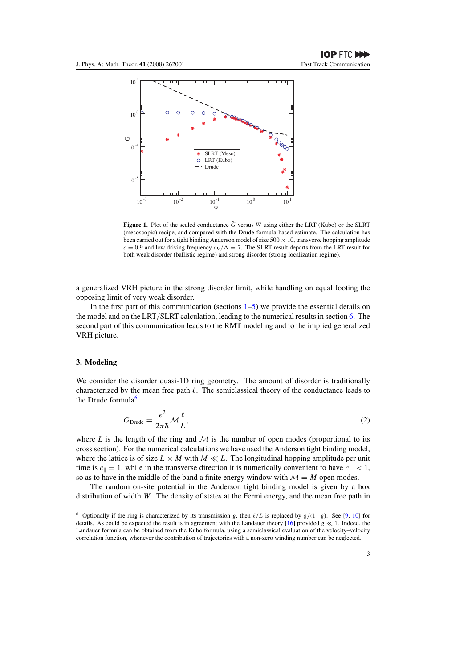

**Figure 1.** Plot of the scaled conductance  $\tilde{G}$  versus *W* using either the LRT (Kubo) or the SLRT (mesoscopic) recipe, and compared with the Drude-formula-based estimate. The calculation has been carried out for a tight binding Anderson model of size  $500 \times 10$ , transverse hopping amplitude  $c = 0.9$  and low driving frequency  $\omega_c/\Delta = 7$ . The SLRT result departs from the LRT result for both weak disorder (ballistic regime) and strong disorder (strong localization regime).

a generalized VRH picture in the strong disorder limit, while handling on equal footing the opposing limit of very weak disorder.

In the first part of this communication (sections  $1-5$ ) we provide the essential details on the model and on the LRT*/*SLRT calculation, leading to the numerical results in section 6. The second part of this communication leads to the RMT modeling and to the implied generalized VRH picture.

## **3. Modeling**

We consider the disorder quasi-1D ring geometry. The amount of disorder is traditionally characterized by the mean free path  $\ell$ . The semiclassical theory of the conductance leads to the Drude formula<sup>6</sup>

$$
G_{\text{Drude}} = \frac{e^2}{2\pi\hbar} \mathcal{M}\frac{\ell}{L},\tag{2}
$$

where *L* is the length of the ring and  $M$  is the number of open modes (proportional to its cross section). For the numerical calculations we have used the Anderson tight binding model, where the lattice is of size  $L \times M$  with  $M \ll L$ . The longitudinal hopping amplitude per unit time is  $c_{\parallel} = 1$ , while in the transverse direction it is numerically convenient to have  $c_{\perp} < 1$ , so as to have in the middle of the band a finite energy window with  $\mathcal{M} = M$  open modes.

The random on-site potential in the Anderson tight binding model is given by a box distribution of width *W*. The density of states at the Fermi energy, and the mean free path in

<sup>&</sup>lt;sup>6</sup> Optionally if the ring is characterized by its transmission *g*, then  $\ell/L$  is replaced by  $g/(1-g)$ . See [9, 10] for details. As could be expected the result is in agreement with the Landauer theory  $[16]$  provided  $g \ll 1$ . Indeed, the Landauer formula can be obtained from the Kubo formula, using a semiclassical evaluation of the velocity–velocity correlation function, whenever the contribution of trajectories with a non-zero winding number can be neglected.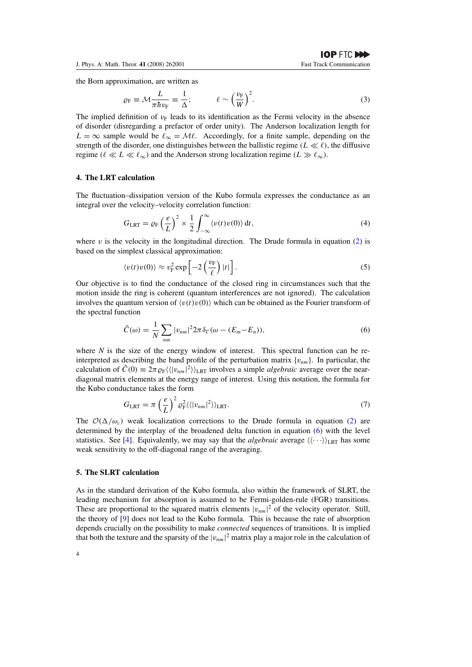the Born approximation, are written as

$$
\varrho_{\rm F} \equiv \mathcal{M} \frac{L}{\pi \hbar v_{\rm F}} \equiv \frac{1}{\Delta}; \qquad \ell \sim \left(\frac{v_{\rm F}}{W}\right)^2. \tag{3}
$$

The implied definition of  $v_F$  leads to its identification as the Fermi velocity in the absence of disorder (disregarding a prefactor of order unity). The Anderson localization length for  $L = \infty$  sample would be  $\ell_{\infty} = M\ell$ . Accordingly, for a finite sample, depending on the strength of the disorder, one distinguishes between the ballistic regime  $(L \ll l)$ , the diffusive regime  $(l \ll L \ll l_{\infty})$  and the Anderson strong localization regime  $(L \gg l_{\infty})$ .

#### **4. The LRT calculation**

The fluctuation–dissipation version of the Kubo formula expresses the conductance as an integral over the velocity–velocity correlation function:

$$
G_{\text{LRT}} = \varrho_{\text{F}} \left(\frac{e}{L}\right)^2 \times \frac{1}{2} \int_{-\infty}^{\infty} \langle v(t)v(0) \rangle \, \mathrm{d}t,\tag{4}
$$

where  $\nu$  is the velocity in the longitudinal direction. The Drude formula in equation (2) is based on the simplest classical approximation:

$$
\langle v(t)v(0)\rangle \approx v_{\rm F}^2 \exp\left[-2\left(\frac{v_{\rm F}}{\ell}\right)|t|\right].\tag{5}
$$

Our objective is to find the conductance of the closed ring in circumstances such that the motion inside the ring is coherent (quantum interferences are not ignored). The calculation involves the quantum version of  $\langle v(t)v(0) \rangle$  which can be obtained as the Fourier transform of the spectral function

$$
\tilde{C}(\omega) = \frac{1}{N} \sum_{nm} |v_{nm}|^2 2\pi \delta_{\Gamma}(\omega - (E_m - E_n)),\tag{6}
$$

where  $N$  is the size of the energy window of interest. This spectral function can be reinterpreted as describing the band profile of the perturbation matrix  $\{v_{nm}\}$ . In particular, the calculation of  $\tilde{C}(0) \equiv 2\pi \varrho_F \langle \langle |v_{nm}|^2 \rangle \rangle_{\text{LRT}}$  involves a simple *algebraic* average over the neardiagonal matrix elements at the energy range of interest. Using this notation, the formula for the Kubo conductance takes the form

$$
G_{\text{LRT}} = \pi \left(\frac{e}{L}\right)^2 \varrho_{\text{F}}^2 \langle \langle |v_{nm}|^2 \rangle \rangle_{\text{LRT}}.
$$
\n(7)

The  $\mathcal{O}(\Delta/\omega_c)$  weak localization corrections to the Drude formula in equation (2) are determined by the interplay of the broadened delta function in equation (6) with the level statistics. See [4]. Equivalently, we may say that the *algebraic* average  $\langle \langle \cdots \rangle \rangle_{\text{LRT}}$  has some weak sensitivity to the off-diagonal range of the averaging.

# **5. The SLRT calculation**

As in the standard derivation of the Kubo formula, also within the framework of SLRT, the leading mechanism for absorption is assumed to be Fermi-golden-rule (FGR) transitions. These are proportional to the squared matrix elements  $|v_{nm}|^2$  of the velocity operator. Still, the theory of [9] does not lead to the Kubo formula. This is because the rate of absorption depends crucially on the possibility to make *connected* sequences of transitions. It is implied that both the texture and the sparsity of the  $|v_{nm}|^2$  matrix play a major role in the calculation of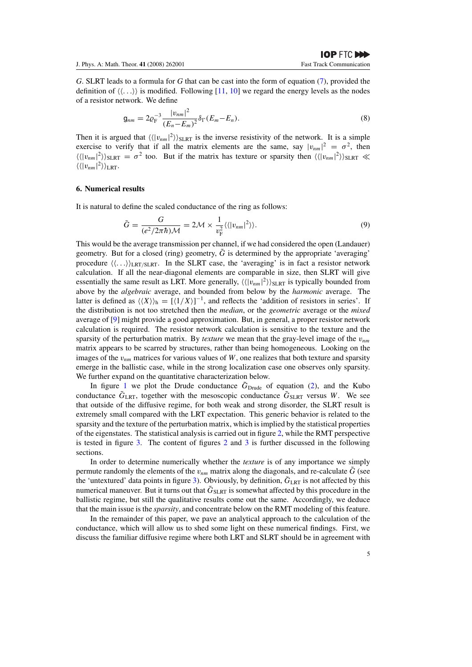*G*. SLRT leads to a formula for *G* that can be cast into the form of equation (7), provided the definition of  $\langle \langle \ldots \rangle \rangle$  is modified. Following [11, 10] we regard the energy levels as the nodes of a resistor network. We define

$$
g_{nm} = 2\varrho_{\rm F}^{-3} \frac{|v_{nm}|^2}{(E_n - E_m)^2} \delta_{\Gamma}(E_m - E_n). \tag{8}
$$

Then it is argued that  $\langle \langle v_{nm} |^2 \rangle \rangle_{SLRT}$  is the inverse resistivity of the network. It is a simple exercise to verify that if all the matrix elements are the same, say  $|v_{nm}|^2 = \sigma^2$ , then  $\langle\langle |v_{nm}|^2 \rangle\rangle_{SLRT} = \sigma^2$  too. But if the matrix has texture or sparsity then  $\langle\langle |v_{nm}|^2 \rangle\rangle_{SLRT} \ll$  $\langle \langle |v_{nm}|^2 \rangle \rangle_{\text{LRT}}$ .

#### **6. Numerical results**

It is natural to define the scaled conductance of the ring as follows:

$$
\tilde{G} = \frac{G}{(e^2/2\pi\hbar)\mathcal{M}} = 2\mathcal{M} \times \frac{1}{v_{\rm F}^2} \langle \langle |v_{nm}|^2 \rangle \rangle.
$$
\n(9)

This would be the average transmission per channel, if we had considered the open (Landauer) geometry. But for a closed (ring) geometry,  $\tilde{G}$  is determined by the appropriate 'averaging' procedure  $\langle \langle \ldots \rangle \rangle_{\text{LRT/SLRT}}$ . In the SLRT case, the 'averaging' is in fact a resistor network calculation. If all the near-diagonal elements are comparable in size, then SLRT will give essentially the same result as LRT. More generally,  $\langle \langle |v_{nm}|^2 \rangle \rangle_{SLRT}$  is typically bounded from above by the *algebraic* average, and bounded from below by the *harmonic* average. The latter is defined as  $\langle \langle X \rangle \rangle$ <sub>h</sub> =  $[\langle 1/X \rangle]^{-1}$ , and reflects the 'addition of resistors in series'. If the distribution is not too stretched then the *median*, or the *geometric* average or the *mixed* average of [9] might provide a good approximation. But, in general, a proper resistor network calculation is required. The resistor network calculation is sensitive to the texture and the sparsity of the perturbation matrix. By *texture* we mean that the gray-level image of the *vnm* matrix appears to be scarred by structures, rather than being homogeneous. Looking on the images of the  $v_{nm}$  matrices for various values of *W*, one realizes that both texture and sparsity emerge in the ballistic case, while in the strong localization case one observes only sparsity. We further expand on the quantitative characterization below.

In figure 1 we plot the Drude conductance  $\tilde{G}_{Drude}$  of equation (2), and the Kubo conductance  $\tilde{G}_{\text{LRT}}$ , together with the mesoscopic conductance  $\tilde{G}_{\text{SLRT}}$  versus *W*. We see that outside of the diffusive regime, for both weak and strong disorder, the SLRT result is extremely small compared with the LRT expectation. This generic behavior is related to the sparsity and the texture of the perturbation matrix, which is implied by the statistical properties of the eigenstates. The statistical analysis is carried out in figure 2, while the RMT perspective is tested in figure 3. The content of figures  $2$  and  $3$  is further discussed in the following sections.

In order to determine numerically whether the *texture* is of any importance we simply permute randomly the elements of the  $v_{nm}$  matrix along the diagonals, and re-calculate  $\tilde{G}$  (see the 'untextured' data points in figure 3). Obviously, by definition,  $\tilde{G}_{LRT}$  is not affected by this numerical maneuver. But it turns out that  $\tilde{G}_{SLRT}$  is somewhat affected by this procedure in the ballistic regime, but still the qualitative results come out the same. Accordingly, we deduce that the main issue is the *sparsity*, and concentrate below on the RMT modeling of this feature.

In the remainder of this paper, we pave an analytical approach to the calculation of the conductance, which will allow us to shed some light on these numerical findings. First, we discuss the familiar diffusive regime where both LRT and SLRT should be in agreement with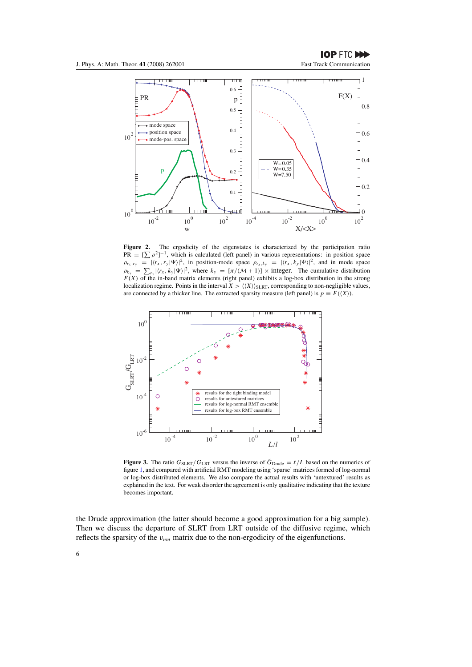**IOP FTC DOD** 



Figure 2. The ergodicity of the eigenstates is characterized by the participation ratio  $PR \equiv [\sum \rho^2]^{-1}$ , which is calculated (left panel) in various representations: in position space  $\rho_{r_x,r_y} = |\langle r_x, r_y | \Psi \rangle|^2$ , in position-mode space  $\rho_{r_x,k_y} = |\langle r_x, k_y | \Psi \rangle|^2$ , and in mode space  $\rho_{k_y} = \sum_{r_x} |\langle r_x, k_y | \Psi \rangle|^2$ , where  $k_y = [\pi/(\mathcal{M} + 1)] \times$  integer. The cumulative distribution  $F(X)$  of the in-band matrix elements (right panel) exhibits a log-box distribution in the strong localization regime. Points in the interval  $X > \langle \langle X \rangle \rangle_{SLRT}$ , corresponding to non-negligible values, are connected by a thicker line. The extracted sparsity measure (left panel) is  $p \equiv F(\langle X \rangle)$ .



**Figure 3.** The ratio  $G_{SLRT}/G_{LRT}$  versus the inverse of  $\tilde{G}_{Drude} = \ell/L$  based on the numerics of figure 1, and compared with artificial RMT modeling using 'sparse' matrices formed of log-normal or log-box distributed elements. We also compare the actual results with 'untextured' results as explained in the text. For weak disorder the agreement is only qualitative indicating that the texture becomes important.

the Drude approximation (the latter should become a good approximation for a big sample). Then we discuss the departure of SLRT from LRT outside of the diffusive regime, which reflects the sparsity of the  $v_{nm}$  matrix due to the non-ergodicity of the eigenfunctions.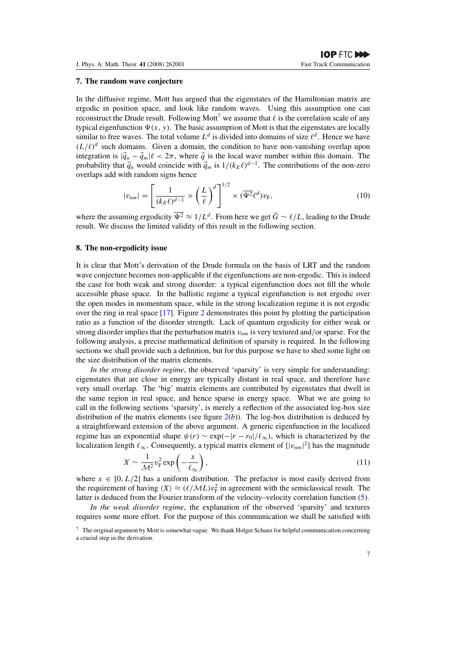#### **7. The random wave conjecture**

In the diffusive regime, Mott has argued that the eigenstates of the Hamiltonian matrix are ergodic in position space, and look like random waves. Using this assumption one can reconstruct the Drude result. Following Mott<sup>7</sup> we assume that  $\ell$  is the correlation scale of any typical eigenfunction  $\Psi(x, y)$ . The basic assumption of Mott is that the eigenstates are locally similar to free waves. The total volume  $L^d$  is divided into domains of size  $\ell^d$ . Hence we have  $(L/\ell)^d$  such domains. Given a domain, the condition to have non-vanishing overlap upon integration is  $|\vec{q}_n - \vec{q}_m|\ell < 2\pi$ , where  $\vec{q}$  is the local wave number within this domain. The probability that  $\vec{q}_n$  would coincide with  $\vec{q}_m$  is  $1/(k_E \ell)^{d-1}$ . The contributions of the non-zero overlaps add with random signs hence

$$
|v_{nm}| = \left[\frac{1}{(k_E \ell)^{d-1}} \times \left(\frac{L}{\ell}\right)^d\right]^{1/2} \times (\overline{\Psi^2} \ell^d) v_{\rm F},\tag{10}
$$

where the assuming ergodicity  $\overline{\Psi^2} \approx 1/L^d$ . From here we get  $\tilde{G} \sim \ell/L$ , leading to the Drude result. We discuss the limited validity of this result in the following section.

#### **8. The non-ergodicity issue**

It is clear that Mott's derivation of the Drude formula on the basis of LRT and the random wave conjecture becomes non-applicable if the eigenfunctions are non-ergodic. This is indeed the case for both weak and strong disorder: a typical eigenfunction does not fill the whole accessible phase space. In the ballistic regime a typical eigenfunction is not ergodic over the open modes in momentum space, while in the strong localization regime it is not ergodic over the ring in real space [17]. Figure 2 demonstrates this point by plotting the participation ratio as a function of the disorder strength. Lack of quantum ergodicity for either weak or strong disorder implies that the perturbation matrix *vnm* is very textured and*/*or sparse. For the following analysis, a precise mathematical definition of sparsity is required. In the following sections we shall provide such a definition, but for this purpose we have to shed some light on the size distribution of the matrix elements.

*In the strong disorder regime*, the observed 'sparsity' is very simple for understanding: eigenstates that are close in energy are typically distant in real space, and therefore have very small overlap. The 'big' matrix elements are contributed by eigenstates that dwell in the same region in real space, and hence sparse in energy space. What we are going to call in the following sections 'sparsity', is merely a reflection of the associated log-box size distribution of the matrix elements (see figure  $2(b)$ ). The log-box distribution is deduced by a straightforward extension of the above argument. A generic eigenfunction in the localized regime has an exponential shape  $\psi(r) \sim \exp(-|r - r_0|/\ell_\infty)$ , which is characterized by the localization length  $\ell_{\infty}$ . Consequently, a typical matrix element of  $\{|v_{nm}|^2\}$  has the magnitude

$$
X \sim \frac{1}{\mathcal{M}^2} v_{\rm F}^2 \exp\left(-\frac{x}{\ell_{\infty}}\right),\tag{11}
$$

where  $x \in [0, L/2]$  has a uniform distribution. The prefactor is most easily derived from the requirement of having  $\langle X \rangle \approx (\ell/ML)v_F^2$  in agreement with the semiclassical result. The latter is deduced from the Fourier transform of the velocity–velocity correlation function (5).

*In the weak disorder regime*, the explanation of the observed 'sparsity' and textures requires some more effort. For the purpose of this communication we shall be satisfied with

 $<sup>7</sup>$  The original argument by Mott is somewhat vague. We thank Holger Schanz for helpful communication concerning</sup> a crucial step in the derivation.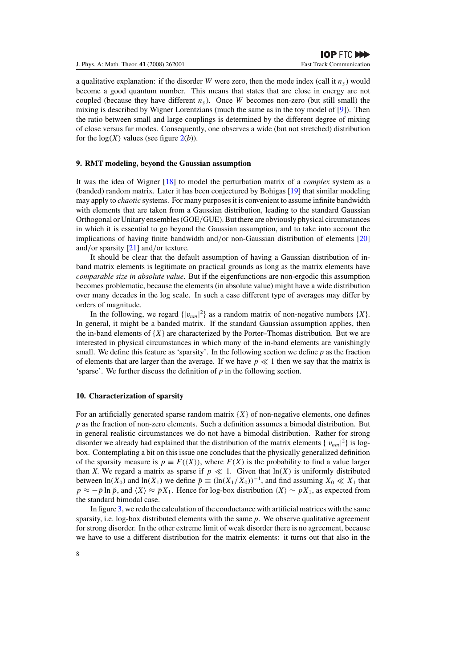a qualitative explanation: if the disorder *W* were zero, then the mode index (call it  $n_y$ ) would become a good quantum number. This means that states that are close in energy are not coupled (because they have different  $n_y$ ). Once *W* becomes non-zero (but still small) the mixing is described by Wigner Lorentzians (much the same as in the toy model of [9]). Then the ratio between small and large couplings is determined by the different degree of mixing of close versus far modes. Consequently, one observes a wide (but not stretched) distribution for the  $log(X)$  values (see figure  $2(b)$ ).

## **9. RMT modeling, beyond the Gaussian assumption**

It was the idea of Wigner [18] to model the perturbation matrix of a *complex* system as a (banded) random matrix. Later it has been conjectured by Bohigas [19] that similar modeling may apply to *chaotic* systems. For many purposes it is convenient to assume infinite bandwidth with elements that are taken from a Gaussian distribution, leading to the standard Gaussian Orthogonal or Unitary ensembles (GOE*/*GUE). But there are obviously physical circumstances in which it is essential to go beyond the Gaussian assumption, and to take into account the implications of having finite bandwidth and*/*or non-Gaussian distribution of elements [20] and*/*or sparsity [21] and*/*or texture.

It should be clear that the default assumption of having a Gaussian distribution of inband matrix elements is legitimate on practical grounds as long as the matrix elements have *comparable size in absolute value*. But if the eigenfunctions are non-ergodic this assumption becomes problematic, because the elements (in absolute value) might have a wide distribution over many decades in the log scale. In such a case different type of averages may differ by orders of magnitude.

In the following, we regard  $\{|v_{nm}|^2\}$  as a random matrix of non-negative numbers  $\{X\}$ . In general, it might be a banded matrix. If the standard Gaussian assumption applies, then the in-band elements of  ${X}$  are characterized by the Porter–Thomas distribution. But we are interested in physical circumstances in which many of the in-band elements are vanishingly small. We define this feature as 'sparsity'. In the following section we define *p* as the fraction of elements that are larger than the average. If we have  $p \ll 1$  then we say that the matrix is 'sparse'. We further discuss the definition of *p* in the following section.

## **10. Characterization of sparsity**

For an artificially generated sparse random matrix {*X*} of non-negative elements, one defines *p* as the fraction of non-zero elements. Such a definition assumes a bimodal distribution. But in general realistic circumstances we do not have a bimodal distribution. Rather for strong disorder we already had explained that the distribution of the matrix elements  $\{|v_{nm}|^2\}$  is logbox. Contemplating a bit on this issue one concludes that the physically generalized definition of the sparsity measure is  $p \equiv F(\langle X \rangle)$ , where  $F(X)$  is the probability to find a value larger than *X*. We regard a matrix as sparse if  $p \ll 1$ . Given that  $\ln(X)$  is uniformly distributed between  $ln(X_0)$  and  $ln(X_1)$  we define  $\tilde{p} \equiv (ln(X_1/X_0))^{-1}$ , and find assuming  $X_0 \ll X_1$  that  $p \approx -\tilde{p} \ln \tilde{p}$ , and  $\langle X \rangle \approx \tilde{p} X_1$ . Hence for log-box distribution  $\langle X \rangle \sim p X_1$ , as expected from the standard bimodal case.

In figure 3, we redo the calculation of the conductance with artificial matrices with the same sparsity, i.e. log-box distributed elements with the same *p*. We observe qualitative agreement for strong disorder. In the other extreme limit of weak disorder there is no agreement, because we have to use a different distribution for the matrix elements: it turns out that also in the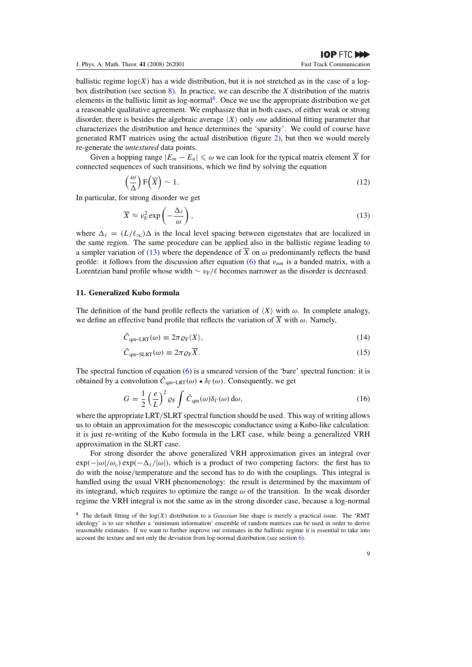ballistic regime  $log(X)$  has a wide distribution, but it is not stretched as in the case of a logbox distribution (see section 8). In practice, we can describe the *X* distribution of the matrix elements in the ballistic limit as log-normal8. Once we use the appropriate distribution we get a reasonable qualitative agreement. We emphasize that in both cases, of either weak or strong disorder, there is besides the algebraic average  $(X)$  only *one* additional fitting parameter that characterizes the distribution and hence determines the 'sparsity'. We could of course have generated RMT matrices using the actual distribution (figure 2), but then we would merely re-generate the *untextured* data points.

Given a hopping range  $|E_m - E_n| \leq \omega$  we can look for the typical matrix element  $\overline{X}$  for connected sequences of such transitions, which we find by solving the equation

$$
\left(\frac{\omega}{\Delta}\right) \mathcal{F}\left(\overline{X}\right) \sim 1. \tag{12}
$$

In particular, for strong disorder we get

$$
\overline{X} \approx v_{\rm F}^2 \exp\left(-\frac{\Delta_{\ell}}{\omega}\right),\tag{13}
$$

where  $\Delta_{\ell} = (L/\ell_{\infty})\Delta$  is the local level spacing between eigenstates that are localized in the same region. The same procedure can be applied also in the ballistic regime leading to a simpler variation of (13) where the dependence of  $\overline{X}$  on  $\omega$  predominantly reflects the band profile: it follows from the discussion after equation (6) that  $v_{nm}$  is a banded matrix, with a Lorentzian band profile whose width  $\sim v_F/\ell$  becomes narrower as the disorder is decreased.

# **11. Generalized Kubo formula**

The definition of the band profile reflects the variation of  $\langle X \rangle$  with  $\omega$ . In complete analogy, we define an effective band profile that reflects the variation of  $\overline{X}$  with  $\omega$ . Namely,

$$
\tilde{C}_{qm-LRT}(\omega) \equiv 2\pi \varrho_F \langle X \rangle, \tag{14}
$$

$$
\tilde{C}_{\text{qm-SLRT}}(\omega) \equiv 2\pi \varrho_{\text{F}} \overline{X}.\tag{15}
$$

The spectral function of equation (6) is a smeared version of the 'bare' spectral function: it is obtained by a convolution  $\tilde{C}_{qm-LRT}(\omega) \star \delta_{\Gamma}(\omega)$ . Consequently, we get

$$
G = \frac{1}{2} \left(\frac{e}{L}\right)^2 \varrho_{\rm F} \int \tilde{C}_{\rm qm}(\omega) \delta_{\Gamma}(\omega) \, \mathrm{d}\omega,\tag{16}
$$

where the appropriate LRT*/*SLRT spectral function should be used. This way of writing allows us to obtain an approximation for the mesoscopic conductance using a Kubo-like calculation: it is just re-writing of the Kubo formula in the LRT case, while being a generalized VRH approximation in the SLRT case.

For strong disorder the above generalized VRH approximation gives an integral over  $\exp(-|\omega|/\omega_c) \exp(-\Delta_{\ell}/|\omega|)$ , which is a product of two competing factors: the first has to do with the noise*/*temperature and the second has to do with the couplings. This integral is handled using the usual VRH phenomenology: the result is determined by the maximum of its integrand, which requires to optimize the range  $\omega$  of the transition. In the weak disorder regime the VRH integral is not the same as in the strong disorder case, because a log-normal

<sup>8</sup> The default fitting of the log*(X)* distribution to a *Gaussian* line shape is merely a practical issue. The 'RMT ideology' is to see whether a 'minimum information' ensemble of random matrices can be used in order to derive reasonable estimates. If we want to further improve our estimates in the ballistic regime it is essential to take into account the texture and not only the deviation from log-normal distribution (see section 6).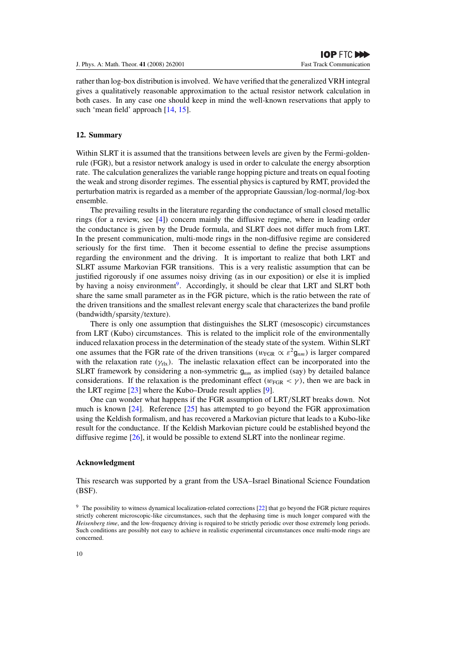rather than log-box distribution is involved. We have verified that the generalized VRH integral gives a qualitatively reasonable approximation to the actual resistor network calculation in both cases. In any case one should keep in mind the well-known reservations that apply to such 'mean field' approach [14, 15].

# **12. Summary**

Within SLRT it is assumed that the transitions between levels are given by the Fermi-goldenrule (FGR), but a resistor network analogy is used in order to calculate the energy absorption rate. The calculation generalizes the variable range hopping picture and treats on equal footing the weak and strong disorder regimes. The essential physics is captured by RMT, provided the perturbation matrix is regarded as a member of the appropriate Gaussian*/*log-normal*/*log-box ensemble.

The prevailing results in the literature regarding the conductance of small closed metallic rings (for a review, see [4]) concern mainly the diffusive regime, where in leading order the conductance is given by the Drude formula, and SLRT does not differ much from LRT. In the present communication, multi-mode rings in the non-diffusive regime are considered seriously for the first time. Then it become essential to define the precise assumptions regarding the environment and the driving. It is important to realize that both LRT and SLRT assume Markovian FGR transitions. This is a very realistic assumption that can be justified rigorously if one assumes noisy driving (as in our exposition) or else it is implied by having a noisy environment<sup>9</sup>. Accordingly, it should be clear that LRT and SLRT both share the same small parameter as in the FGR picture, which is the ratio between the rate of the driven transitions and the smallest relevant energy scale that characterizes the band profile (bandwidth*/*sparsity*/*texture).

There is only one assumption that distinguishes the SLRT (mesoscopic) circumstances from LRT (Kubo) circumstances. This is related to the implicit role of the environmentally induced relaxation process in the determination of the steady state of the system. Within SLRT one assumes that the FGR rate of the driven transitions  $(w_{FGR} \propto \varepsilon^2 g_{nm})$  is larger compared with the relaxation rate  $(\gamma_{\text{rx}})$ . The inelastic relaxation effect can be incorporated into the SLRT framework by considering a non-symmetric g*nm* as implied (say) by detailed balance considerations. If the relaxation is the predominant effect  $(w_{FGR} < \gamma)$ , then we are back in the LRT regime [23] where the Kubo–Drude result applies [9].

One can wonder what happens if the FGR assumption of LRT*/*SLRT breaks down. Not much is known [24]. Reference [25] has attempted to go beyond the FGR approximation using the Keldish formalism, and has recovered a Markovian picture that leads to a Kubo-like result for the conductance. If the Keldish Markovian picture could be established beyond the diffusive regime [26], it would be possible to extend SLRT into the nonlinear regime.

# **Acknowledgment**

This research was supported by a grant from the USA–Israel Binational Science Foundation (BSF).

<sup>&</sup>lt;sup>9</sup> The possibility to witness dynamical localization-related corrections [22] that go beyond the FGR picture requires strictly coherent microscopic-like circumstances, such that the dephasing time is much longer compared with the *Heisenberg time*, and the low-frequency driving is required to be strictly periodic over those extremely long periods. Such conditions are possibly not easy to achieve in realistic experimental circumstances once multi-mode rings are concerned.